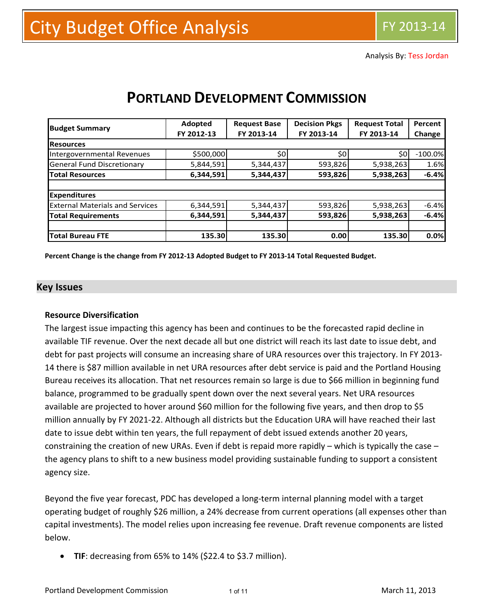Analysis By: Tess Jordan

| <b>Budget Summary</b>                  | Adopted    | <b>Request Base</b> | <b>Decision Pkgs</b> | <b>Request Total</b> | Percent<br>Change |  |
|----------------------------------------|------------|---------------------|----------------------|----------------------|-------------------|--|
|                                        | FY 2012-13 | FY 2013-14          | FY 2013-14           | FY 2013-14           |                   |  |
| <b>Resources</b>                       |            |                     |                      |                      |                   |  |
| Intergovernmental Revenues             | \$500,000  | \$0                 | \$0                  | \$0                  | $-100.0%$         |  |
| <b>General Fund Discretionary</b>      | 5,844,591  | 5,344,437           | 593,826              | 5,938,263            | 1.6%              |  |
| <b>Total Resources</b>                 | 6,344,591  | 5,344,437           | 593,826              | 5,938,263            | $-6.4%$           |  |
|                                        |            |                     |                      |                      |                   |  |
| <b>Expenditures</b>                    |            |                     |                      |                      |                   |  |
| <b>External Materials and Services</b> | 6,344,591  | 5,344,437           | 593,826              | 5,938,263            | $-6.4%$           |  |
| <b>Total Requirements</b>              | 6,344,591  | 5,344,437           | 593,826              | 5,938,263            | $-6.4%$           |  |
|                                        |            |                     |                      |                      |                   |  |
| <b>Total Bureau FTE</b>                | 135.30     | 135.30              | 0.00                 | 135.30               | 0.0%              |  |

# **PORTLAND DEVELOPMENT COMMISSION**

Percent Change is the change from FY 2012-13 Adopted Budget to FY 2013-14 Total Requested Budget.

#### **Key Issues**

#### **Resource Diversification**

The largest issue impacting this agency has been and continues to be the forecasted rapid decline in available TIF revenue. Over the next decade all but one district will reach its last date to issue debt, and debt for past projects will consume an increasing share of URA resources over this trajectory. In FY 2013‐ 14 there is \$87 million available in net URA resources after debt service is paid and the Portland Housing Bureau receives its allocation. That net resources remain so large is due to \$66 million in beginning fund balance, programmed to be gradually spent down over the next several years. Net URA resources available are projected to hover around \$60 million for the following five years, and then drop to \$5 million annually by FY 2021‐22. Although all districts but the Education URA will have reached their last date to issue debt within ten years, the full repayment of debt issued extends another 20 years, constraining the creation of new URAs. Even if debt is repaid more rapidly – which is typically the case – the agency plans to shift to a new business model providing sustainable funding to support a consistent agency size.

Beyond the five year forecast, PDC has developed a long‐term internal planning model with a target operating budget of roughly \$26 million, a 24% decrease from current operations (all expenses other than capital investments). The model relies upon increasing fee revenue. Draft revenue components are listed below.

**TIF**: decreasing from 65% to 14% (\$22.4 to \$3.7 million).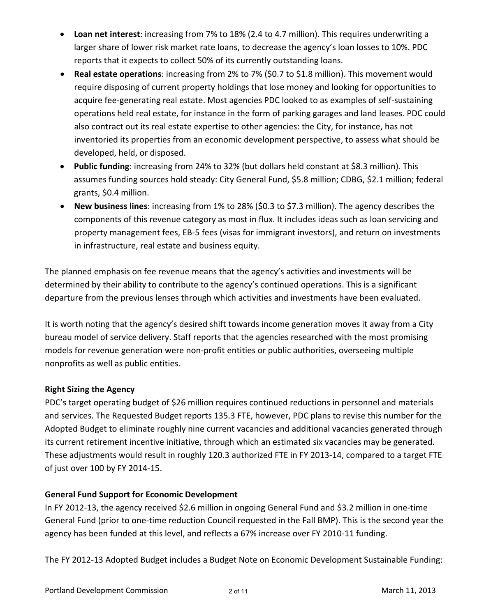- **Loan net interest**: increasing from 7% to 18% (2.4 to 4.7 million). This requires underwriting a larger share of lower risk market rate loans, to decrease the agency's loan losses to 10%. PDC reports that it expects to collect 50% of its currently outstanding loans.
- **Real estate operations**: increasing from 2% to 7% (\$0.7 to \$1.8 million). This movement would require disposing of current property holdings that lose money and looking for opportunities to acquire fee‐generating real estate. Most agencies PDC looked to as examples of self‐sustaining operations held real estate, for instance in the form of parking garages and land leases. PDC could also contract out its real estate expertise to other agencies: the City, for instance, has not inventoried its properties from an economic development perspective, to assess what should be developed, held, or disposed.
- **Public funding**: increasing from 24% to 32% (but dollars held constant at \$8.3 million). This assumes funding sources hold steady: City General Fund, \$5.8 million; CDBG, \$2.1 million; federal grants, \$0.4 million.
- **New business lines**: increasing from 1% to 28% (\$0.3 to \$7.3 million). The agency describes the components of this revenue category as most in flux. It includes ideas such as loan servicing and property management fees, EB‐5 fees (visas for immigrant investors), and return on investments in infrastructure, real estate and business equity.

The planned emphasis on fee revenue means that the agency's activities and investments will be determined by their ability to contribute to the agency's continued operations. This is a significant departure from the previous lenses through which activities and investments have been evaluated.

It is worth noting that the agency's desired shift towards income generation moves it away from a City bureau model of service delivery. Staff reports that the agencies researched with the most promising models for revenue generation were non‐profit entities or public authorities, overseeing multiple nonprofits as well as public entities.

# **Right Sizing the Agency**

PDC's target operating budget of \$26 million requires continued reductions in personnel and materials and services. The Requested Budget reports 135.3 FTE, however, PDC plans to revise this number for the Adopted Budget to eliminate roughly nine current vacancies and additional vacancies generated through its current retirement incentive initiative, through which an estimated six vacancies may be generated. These adjustments would result in roughly 120.3 authorized FTE in FY 2013‐14, compared to a target FTE of just over 100 by FY 2014‐15.

## **General Fund Support for Economic Development**

In FY 2012-13, the agency received \$2.6 million in ongoing General Fund and \$3.2 million in one-time General Fund (prior to one‐time reduction Council requested in the Fall BMP). This is the second year the agency has been funded at this level, and reflects a 67% increase over FY 2010‐11 funding.

The FY 2012‐13 Adopted Budget includes a Budget Note on Economic Development Sustainable Funding: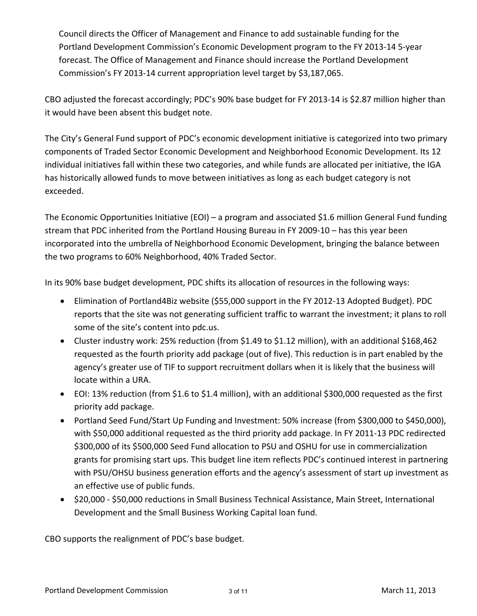Council directs the Officer of Management and Finance to add sustainable funding for the Portland Development Commission's Economic Development program to the FY 2013‐14 5‐year forecast. The Office of Management and Finance should increase the Portland Development Commission's FY 2013‐14 current appropriation level target by \$3,187,065.

CBO adjusted the forecast accordingly; PDC's 90% base budget for FY 2013‐14 is \$2.87 million higher than it would have been absent this budget note.

The City's General Fund support of PDC's economic development initiative is categorized into two primary components of Traded Sector Economic Development and Neighborhood Economic Development. Its 12 individual initiatives fall within these two categories, and while funds are allocated per initiative, the IGA has historically allowed funds to move between initiatives as long as each budget category is not exceeded.

The Economic Opportunities Initiative (EOI) – a program and associated \$1.6 million General Fund funding stream that PDC inherited from the Portland Housing Bureau in FY 2009-10 – has this year been incorporated into the umbrella of Neighborhood Economic Development, bringing the balance between the two programs to 60% Neighborhood, 40% Traded Sector.

In its 90% base budget development, PDC shifts its allocation of resources in the following ways:

- Elimination of Portland4Biz website (\$55,000 support in the FY 2012‐13 Adopted Budget). PDC reports that the site was not generating sufficient traffic to warrant the investment; it plans to roll some of the site's content into pdc.us.
- Cluster industry work: 25% reduction (from \$1.49 to \$1.12 million), with an additional \$168,462 requested as the fourth priority add package (out of five). This reduction is in part enabled by the agency's greater use of TIF to support recruitment dollars when it is likely that the business will locate within a URA.
- EOI: 13% reduction (from \$1.6 to \$1.4 million), with an additional \$300,000 requested as the first priority add package.
- Portland Seed Fund/Start Up Funding and Investment: 50% increase (from \$300,000 to \$450,000), with \$50,000 additional requested as the third priority add package. In FY 2011‐13 PDC redirected \$300,000 of its \$500,000 Seed Fund allocation to PSU and OSHU for use in commercialization grants for promising start ups. This budget line item reflects PDC's continued interest in partnering with PSU/OHSU business generation efforts and the agency's assessment of start up investment as an effective use of public funds.
- \$20,000 \$50,000 reductions in Small Business Technical Assistance, Main Street, International Development and the Small Business Working Capital loan fund.

CBO supports the realignment of PDC's base budget.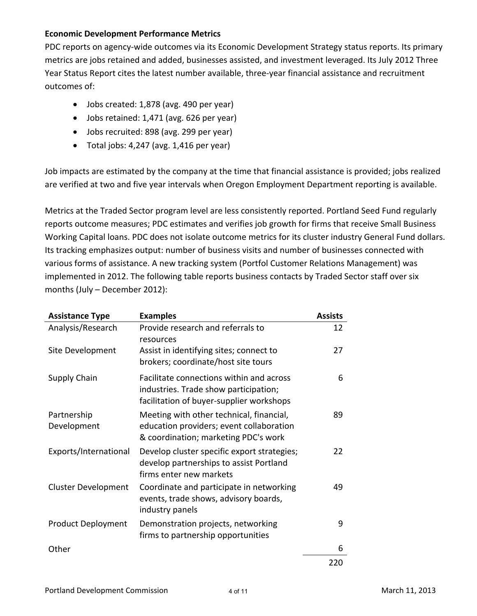#### **Economic Development Performance Metrics**

PDC reports on agency‐wide outcomes via its Economic Development Strategy status reports. Its primary metrics are jobs retained and added, businesses assisted, and investment leveraged. Its July 2012 Three Year Status Report cites the latest number available, three‐year financial assistance and recruitment outcomes of:

- Jobs created: 1,878 (avg. 490 per year)
- Jobs retained: 1,471 (avg. 626 per year)
- Jobs recruited: 898 (avg. 299 per year)
- Total jobs: 4,247 (avg. 1,416 per year)

Job impacts are estimated by the company at the time that financial assistance is provided; jobs realized are verified at two and five year intervals when Oregon Employment Department reporting is available.

Metrics at the Traded Sector program level are less consistently reported. Portland Seed Fund regularly reports outcome measures; PDC estimates and verifies job growth for firms that receive Small Business Working Capital loans. PDC does not isolate outcome metrics for its cluster industry General Fund dollars. Its tracking emphasizes output: number of business visits and number of businesses connected with various forms of assistance. A new tracking system (Portfol Customer Relations Management) was implemented in 2012. The following table reports business contacts by Traded Sector staff over six months (July – December 2012):

| <b>Assistance Type</b>     | <b>Examples</b>                                                                                                               | <b>Assists</b> |
|----------------------------|-------------------------------------------------------------------------------------------------------------------------------|----------------|
| Analysis/Research          | Provide research and referrals to<br>resources                                                                                | 12             |
| Site Development           | Assist in identifying sites; connect to<br>brokers; coordinate/host site tours                                                | 27             |
| Supply Chain               | Facilitate connections within and across<br>industries. Trade show participation;<br>facilitation of buyer-supplier workshops | 6              |
| Partnership<br>Development | Meeting with other technical, financial,<br>education providers; event collaboration<br>& coordination; marketing PDC's work  | 89             |
| Exports/International      | Develop cluster specific export strategies;<br>develop partnerships to assist Portland<br>firms enter new markets             | 22             |
| <b>Cluster Development</b> | Coordinate and participate in networking<br>events, trade shows, advisory boards,<br>industry panels                          | 49             |
| <b>Product Deployment</b>  | Demonstration projects, networking<br>firms to partnership opportunities                                                      | 9              |
| Other                      |                                                                                                                               | 6              |
|                            |                                                                                                                               | 220            |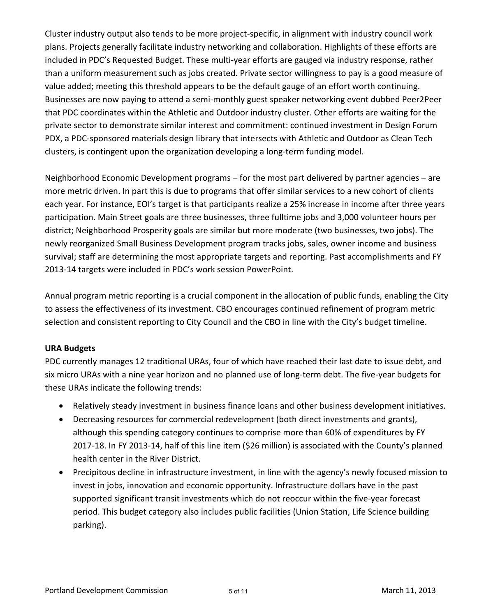Cluster industry output also tends to be more project‐specific, in alignment with industry council work plans. Projects generally facilitate industry networking and collaboration. Highlights of these efforts are included in PDC's Requested Budget. These multi‐year efforts are gauged via industry response, rather than a uniform measurement such as jobs created. Private sector willingness to pay is a good measure of value added; meeting this threshold appears to be the default gauge of an effort worth continuing. Businesses are now paying to attend a semi‐monthly guest speaker networking event dubbed Peer2Peer that PDC coordinates within the Athletic and Outdoor industry cluster. Other efforts are waiting for the private sector to demonstrate similar interest and commitment: continued investment in Design Forum PDX, a PDC‐sponsored materials design library that intersects with Athletic and Outdoor as Clean Tech clusters, is contingent upon the organization developing a long‐term funding model.

Neighborhood Economic Development programs – for the most part delivered by partner agencies – are more metric driven. In part this is due to programs that offer similar services to a new cohort of clients each year. For instance, EOI's target is that participants realize a 25% increase in income after three years participation. Main Street goals are three businesses, three fulltime jobs and 3,000 volunteer hours per district; Neighborhood Prosperity goals are similar but more moderate (two businesses, two jobs). The newly reorganized Small Business Development program tracks jobs, sales, owner income and business survival; staff are determining the most appropriate targets and reporting. Past accomplishments and FY 2013‐14 targets were included in PDC's work session PowerPoint.

Annual program metric reporting is a crucial component in the allocation of public funds, enabling the City to assess the effectiveness of its investment. CBO encourages continued refinement of program metric selection and consistent reporting to City Council and the CBO in line with the City's budget timeline.

## **URA Budgets**

PDC currently manages 12 traditional URAs, four of which have reached their last date to issue debt, and six micro URAs with a nine year horizon and no planned use of long‐term debt. The five‐year budgets for these URAs indicate the following trends:

- Relatively steady investment in business finance loans and other business development initiatives.
- Decreasing resources for commercial redevelopment (both direct investments and grants), although this spending category continues to comprise more than 60% of expenditures by FY 2017‐18. In FY 2013‐14, half of this line item (\$26 million) is associated with the County's planned health center in the River District.
- Precipitous decline in infrastructure investment, in line with the agency's newly focused mission to invest in jobs, innovation and economic opportunity. Infrastructure dollars have in the past supported significant transit investments which do not reoccur within the five-year forecast period. This budget category also includes public facilities (Union Station, Life Science building parking).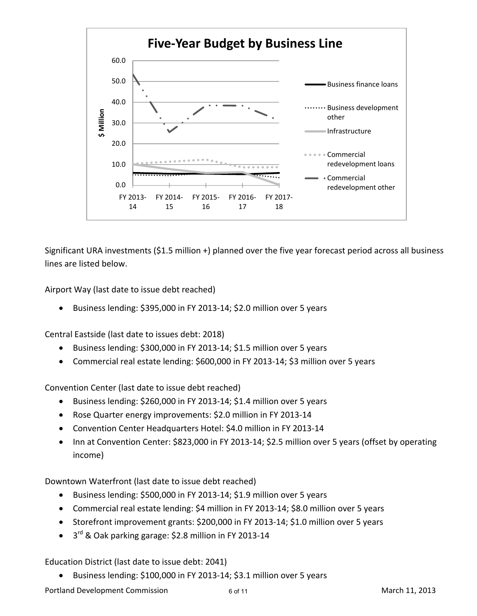

Significant URA investments (\$1.5 million +) planned over the five year forecast period across all business lines are listed below.

Airport Way (last date to issue debt reached)

● Business lending: \$395,000 in FY 2013-14; \$2.0 million over 5 years

Central Eastside (last date to issues debt: 2018)

- Business lending: \$300,000 in FY 2013-14; \$1.5 million over 5 years
- Commercial real estate lending: \$600,000 in FY 2013-14; \$3 million over 5 years

Convention Center (last date to issue debt reached)

- Business lending: \$260,000 in FY 2013-14; \$1.4 million over 5 years
- Rose Quarter energy improvements: \$2.0 million in FY 2013-14
- Convention Center Headquarters Hotel: \$4.0 million in FY 2013‐14
- Inn at Convention Center: \$823,000 in FY 2013-14; \$2.5 million over 5 years (offset by operating income)

Downtown Waterfront (last date to issue debt reached)

- Business lending: \$500,000 in FY 2013-14; \$1.9 million over 5 years
- Commercial real estate lending: \$4 million in FY 2013‐14; \$8.0 million over 5 years
- Storefront improvement grants: \$200,000 in FY 2013‐14; \$1.0 million over 5 years
- $\bullet$  3<sup>rd</sup> & Oak parking garage: \$2.8 million in FY 2013-14

Education District (last date to issue debt: 2041)

● Business lending: \$100,000 in FY 2013-14; \$3.1 million over 5 years

Portland Development Commission 6 of 11 and 5 of 11 and 5 of 11 and 5 of 11 and 5 of 11 and 5 of 11 and 5 of 11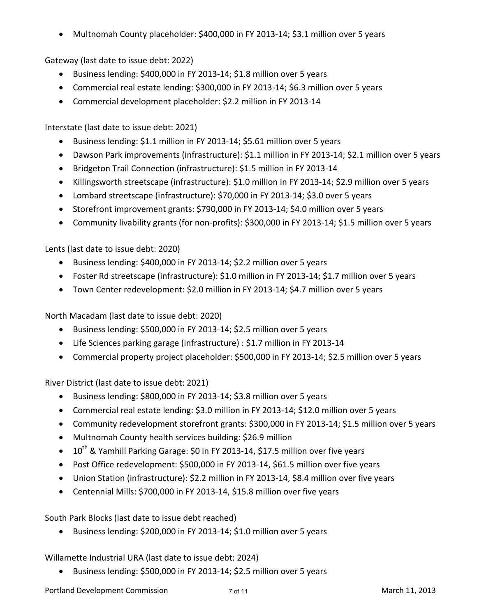Multnomah County placeholder: \$400,000 in FY 2013‐14; \$3.1 million over 5 years

Gateway (last date to issue debt: 2022)

- Business lending: \$400,000 in FY 2013-14; \$1.8 million over 5 years
- Commercial real estate lending: \$300,000 in FY 2013‐14; \$6.3 million over 5 years
- Commercial development placeholder: \$2.2 million in FY 2013‐14

Interstate (last date to issue debt: 2021)

- Business lending: \$1.1 million in FY 2013-14; \$5.61 million over 5 years
- Dawson Park improvements (infrastructure): \$1.1 million in FY 2013-14; \$2.1 million over 5 years
- Bridgeton Trail Connection (infrastructure): \$1.5 million in FY 2013-14
- Killingsworth streetscape (infrastructure): \$1.0 million in FY 2013-14; \$2.9 million over 5 years
- Lombard streetscape (infrastructure): \$70,000 in FY 2013‐14; \$3.0 over 5 years
- Storefront improvement grants: \$790,000 in FY 2013-14; \$4.0 million over 5 years
- Community livability grants (for non‐profits): \$300,000 in FY 2013‐14; \$1.5 million over 5 years

Lents (last date to issue debt: 2020)

- Business lending: \$400,000 in FY 2013-14; \$2.2 million over 5 years
- Foster Rd streetscape (infrastructure): \$1.0 million in FY 2013‐14; \$1.7 million over 5 years
- Town Center redevelopment: \$2.0 million in FY 2013‐14; \$4.7 million over 5 years

North Macadam (last date to issue debt: 2020)

- Business lending: \$500,000 in FY 2013-14; \$2.5 million over 5 years
- Life Sciences parking garage (infrastructure) : \$1.7 million in FY 2013‐14
- Commercial property project placeholder: \$500,000 in FY 2013‐14; \$2.5 million over 5 years

River District (last date to issue debt: 2021)

- Business lending: \$800,000 in FY 2013-14; \$3.8 million over 5 years
- Commercial real estate lending: \$3.0 million in FY 2013‐14; \$12.0 million over 5 years
- Community redevelopment storefront grants: \$300,000 in FY 2013-14; \$1.5 million over 5 years
- Multnomah County health services building: \$26.9 million
- $10^{th}$  & Yamhill Parking Garage: \$0 in FY 2013-14, \$17.5 million over five years
- Post Office redevelopment: \$500,000 in FY 2013-14, \$61.5 million over five years
- Union Station (infrastructure): \$2.2 million in FY 2013-14, \$8.4 million over five years
- Centennial Mills: \$700,000 in FY 2013‐14, \$15.8 million over five years

South Park Blocks (last date to issue debt reached)

● Business lending: \$200,000 in FY 2013-14; \$1.0 million over 5 years

Willamette Industrial URA (last date to issue debt: 2024)

● Business lending: \$500,000 in FY 2013-14; \$2.5 million over 5 years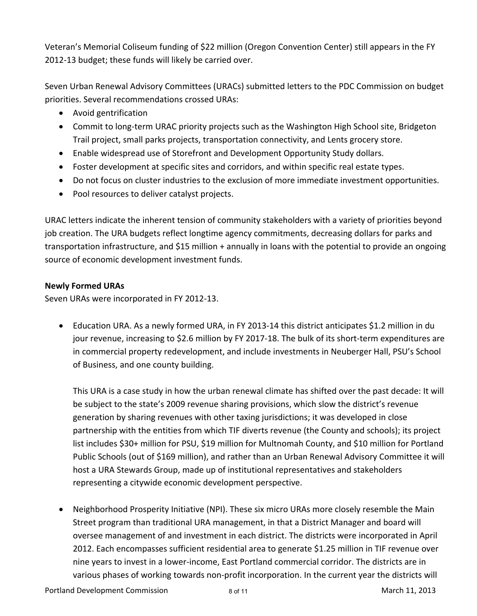Veteran's Memorial Coliseum funding of \$22 million (Oregon Convention Center) still appears in the FY 2012‐13 budget; these funds will likely be carried over.

Seven Urban Renewal Advisory Committees (URACs) submitted letters to the PDC Commission on budget priorities. Several recommendations crossed URAs:

- Avoid gentrification
- Commit to long-term URAC priority projects such as the Washington High School site, Bridgeton Trail project, small parks projects, transportation connectivity, and Lents grocery store.
- Enable widespread use of Storefront and Development Opportunity Study dollars.
- Foster development at specific sites and corridors, and within specific real estate types.
- Do not focus on cluster industries to the exclusion of more immediate investment opportunities.
- Pool resources to deliver catalyst projects.

URAC letters indicate the inherent tension of community stakeholders with a variety of priorities beyond job creation. The URA budgets reflect longtime agency commitments, decreasing dollars for parks and transportation infrastructure, and \$15 million + annually in loans with the potential to provide an ongoing source of economic development investment funds.

# **Newly Formed URAs**

Seven URAs were incorporated in FY 2012‐13.

 Education URA. As a newly formed URA, in FY 2013‐14 this district anticipates \$1.2 million in du jour revenue, increasing to \$2.6 million by FY 2017-18. The bulk of its short-term expenditures are in commercial property redevelopment, and include investments in Neuberger Hall, PSU's School of Business, and one county building.

This URA is a case study in how the urban renewal climate has shifted over the past decade: It will be subject to the state's 2009 revenue sharing provisions, which slow the district's revenue generation by sharing revenues with other taxing jurisdictions; it was developed in close partnership with the entities from which TIF diverts revenue (the County and schools); its project list includes \$30+ million for PSU, \$19 million for Multnomah County, and \$10 million for Portland Public Schools (out of \$169 million), and rather than an Urban Renewal Advisory Committee it will host a URA Stewards Group, made up of institutional representatives and stakeholders representing a citywide economic development perspective.

 Neighborhood Prosperity Initiative (NPI). These six micro URAs more closely resemble the Main Street program than traditional URA management, in that a District Manager and board will oversee management of and investment in each district. The districts were incorporated in April 2012. Each encompasses sufficient residential area to generate \$1.25 million in TIF revenue over nine years to invest in a lower‐income, East Portland commercial corridor. The districts are in various phases of working towards non‐profit incorporation. In the current year the districts will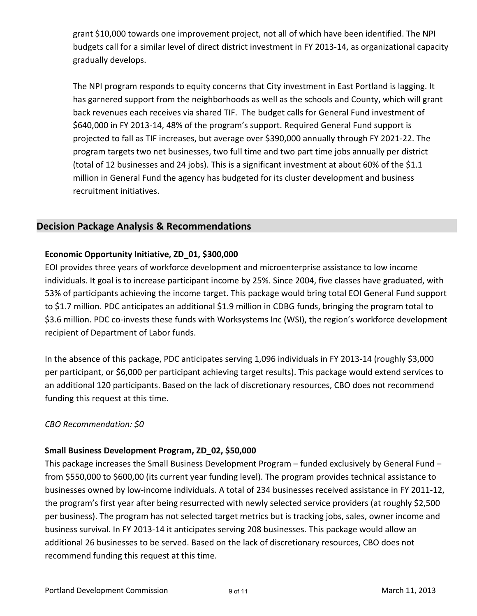grant \$10,000 towards one improvement project, not all of which have been identified. The NPI budgets call for a similar level of direct district investment in FY 2013‐14, as organizational capacity gradually develops.

The NPI program responds to equity concerns that City investment in East Portland is lagging. It has garnered support from the neighborhoods as well as the schools and County, which will grant back revenues each receives via shared TIF. The budget calls for General Fund investment of \$640,000 in FY 2013‐14, 48% of the program's support. Required General Fund support is projected to fall as TIF increases, but average over \$390,000 annually through FY 2021‐22. The program targets two net businesses, two full time and two part time jobs annually per district (total of 12 businesses and 24 jobs). This is a significant investment at about 60% of the \$1.1 million in General Fund the agency has budgeted for its cluster development and business recruitment initiatives.

# **Decision Package Analysis & Recommendations**

#### **Economic Opportunity Initiative, ZD\_01, \$300,000**

EOI provides three years of workforce development and microenterprise assistance to low income individuals. It goal is to increase participant income by 25%. Since 2004, five classes have graduated, with 53% of participants achieving the income target. This package would bring total EOI General Fund support to \$1.7 million. PDC anticipates an additional \$1.9 million in CDBG funds, bringing the program total to \$3.6 million. PDC co-invests these funds with Worksystems Inc (WSI), the region's workforce development recipient of Department of Labor funds.

In the absence of this package, PDC anticipates serving 1,096 individuals in FY 2013‐14 (roughly \$3,000 per participant, or \$6,000 per participant achieving target results). This package would extend services to an additional 120 participants. Based on the lack of discretionary resources, CBO does not recommend funding this request at this time.

#### *CBO Recommendation: \$0*

#### **Small Business Development Program, ZD\_02, \$50,000**

This package increases the Small Business Development Program – funded exclusively by General Fund – from \$550,000 to \$600,00 (its current year funding level). The program provides technical assistance to businesses owned by low‐income individuals. A total of 234 businesses received assistance in FY 2011‐12, the program's first year after being resurrected with newly selected service providers (at roughly \$2,500 per business). The program has not selected target metrics but is tracking jobs, sales, owner income and business survival. In FY 2013‐14 it anticipates serving 208 businesses. This package would allow an additional 26 businesses to be served. Based on the lack of discretionary resources, CBO does not recommend funding this request at this time.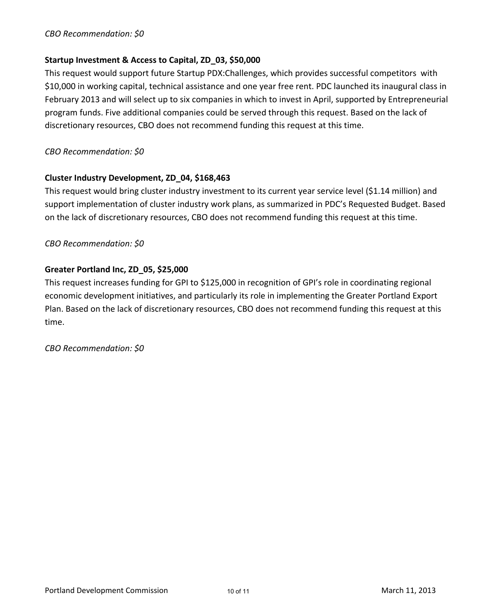#### *CBO Recommendation: \$0*

#### **Startup Investment & Access to Capital, ZD\_03, \$50,000**

This request would support future Startup PDX:Challenges, which provides successful competitors with \$10,000 in working capital, technical assistance and one year free rent. PDC launched its inaugural class in February 2013 and will select up to six companies in which to invest in April, supported by Entrepreneurial program funds. Five additional companies could be served through this request. Based on the lack of discretionary resources, CBO does not recommend funding this request at this time.

*CBO Recommendation: \$0*

#### **Cluster Industry Development, ZD\_04, \$168,463**

This request would bring cluster industry investment to its current year service level (\$1.14 million) and support implementation of cluster industry work plans, as summarized in PDC's Requested Budget. Based on the lack of discretionary resources, CBO does not recommend funding this request at this time.

*CBO Recommendation: \$0*

#### **Greater Portland Inc, ZD\_05, \$25,000**

This request increases funding for GPI to \$125,000 in recognition of GPI's role in coordinating regional economic development initiatives, and particularly its role in implementing the Greater Portland Export Plan. Based on the lack of discretionary resources, CBO does not recommend funding this request at this time.

*CBO Recommendation: \$0*